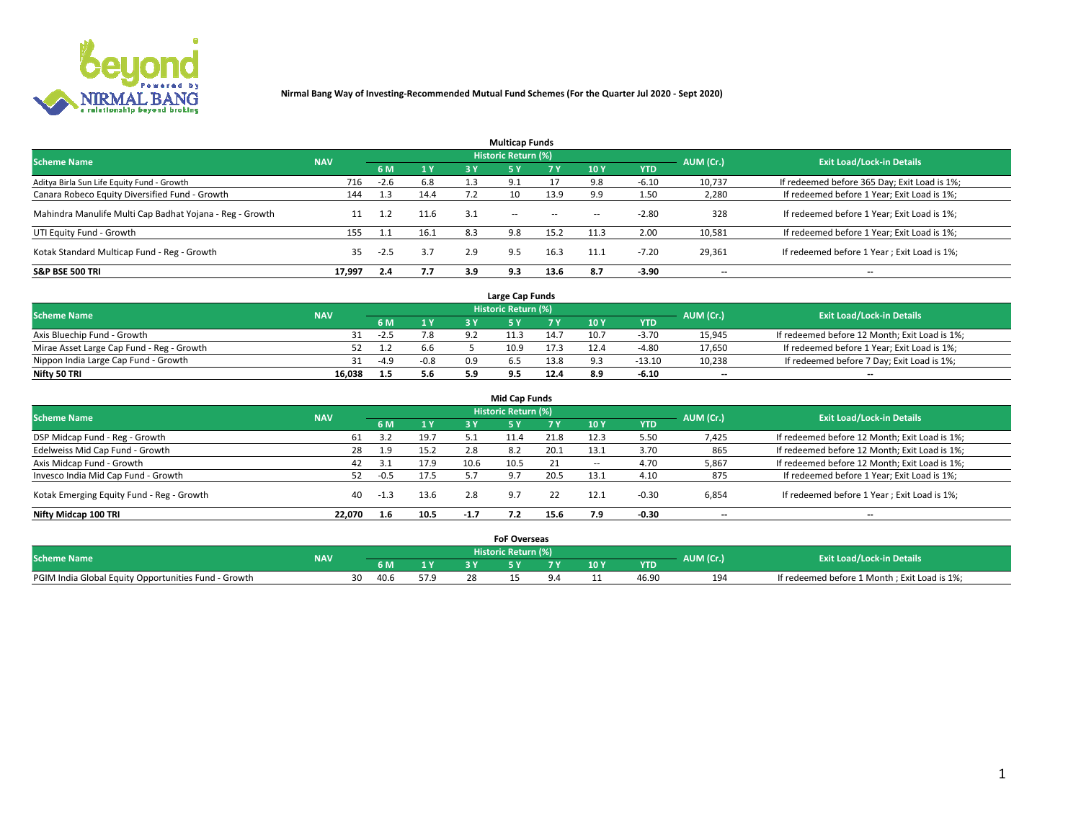

|                                                          |            |        |           |     | <b>Multicap Funds</b> |           |        |            |           |                                              |
|----------------------------------------------------------|------------|--------|-----------|-----|-----------------------|-----------|--------|------------|-----------|----------------------------------------------|
| <b>Scheme Name</b>                                       | <b>NAV</b> |        |           |     | Historic Return (%)   |           |        |            | AUM (Cr.) | <b>Exit Load/Lock-in Details</b>             |
|                                                          |            | 6 M    | <b>1Y</b> | 3 Y | <b>5Y</b>             | <b>7Y</b> | 10Y    | <b>YTD</b> |           |                                              |
| Aditya Birla Sun Life Equity Fund - Growth               | 716        | $-2.6$ | 6.8       | 1.3 | 9.1                   |           |        | $-6.10$    | 10,737    | If redeemed before 365 Day; Exit Load is 1%; |
| Canara Robeco Equity Diversified Fund - Growth           | 144        | 1.3    | 14.4      | 7.2 | 10                    | 13.9      | 9.9    | 1.50       | 2,280     | If redeemed before 1 Year; Exit Load is 1%;  |
| Mahindra Manulife Multi Cap Badhat Yojana - Reg - Growth | 11         | 1.2    | 11.6      | 3.1 | $\sim$ $-$            | $\sim$    | $\sim$ | $-2.80$    | 328       | If redeemed before 1 Year; Exit Load is 1%;  |
| UTI Equity Fund - Growth                                 | 155        |        | 16.1      | 8.3 | 9.8                   | 15.2      | 11.3   | 2.00       | 10,581    | If redeemed before 1 Year; Exit Load is 1%;  |
| Kotak Standard Multicap Fund - Reg - Growth              | 35         | $-2.5$ | 3.7       | 2.9 | 9.5                   | 16.3      | 11.1   | $-7.20$    | 29,361    | If redeemed before 1 Year; Exit Load is 1%;  |
| <b>S&amp;P BSE 500 TRI</b>                               | 17,997     | 2.4    | 7.7       | 3.9 | 9.3                   | 13.6      | 8.7    | $-3.90$    | --        | $- -$                                        |

|                                           |            |        |                |         | Large Cap Funds     |      |      |            |                          |                                               |
|-------------------------------------------|------------|--------|----------------|---------|---------------------|------|------|------------|--------------------------|-----------------------------------------------|
| <b>Scheme Name</b>                        | <b>NAV</b> |        |                |         | Historic Return (%) |      |      |            | AUM (Cr.)                | <b>Exit Load/Lock-in Details</b>              |
|                                           |            | 6 M    | 4 <sub>Y</sub> |         |                     |      | 10 Y | <b>YTD</b> |                          |                                               |
| Axis Bluechip Fund - Growth               |            | $-2.5$ | 7.8            | $\circ$ |                     | 14.7 | 10.7 | $-3.70$    | 15,945                   | If redeemed before 12 Month; Exit Load is 1%; |
| Mirae Asset Large Cap Fund - Reg - Growth |            |        | 6.6            |         | 10.9                | 17.3 |      | -4.80      | 17,650                   | If redeemed before 1 Year; Exit Load is 1%;   |
| Nippon India Large Cap Fund - Growth      |            | $-4.9$ | $-0.8$         | 0.9     |                     | 13.8 |      | $-13.10$   | 10,238                   | If redeemed before 7 Day; Exit Load is 1%;    |
| Nifty 50 TRI                              | 16.038     |        | 5.6            |         |                     | 12.4 |      | $-6.10$    | $\overline{\phantom{a}}$ | $- -$                                         |

| <b>Mid Cap Funds</b>                      |            |        |      |        |                     |      |                 |            |                          |                                               |  |  |  |
|-------------------------------------------|------------|--------|------|--------|---------------------|------|-----------------|------------|--------------------------|-----------------------------------------------|--|--|--|
| <b>Scheme Name</b>                        | <b>NAV</b> |        |      |        | Historic Return (%) |      |                 |            | AUM (Cr.)                | <b>Exit Load/Lock-in Details</b>              |  |  |  |
|                                           |            | 6 M    | 1Y   | 3 Y    | .5 Y                |      | 10 <sub>Y</sub> | <b>YTD</b> |                          |                                               |  |  |  |
| DSP Midcap Fund - Reg - Growth            | 61         | ວ າ    | 19.7 |        | 11.4                | 21.8 | 12.3            | 5.50       | 7,425                    | If redeemed before 12 Month; Exit Load is 1%; |  |  |  |
| Edelweiss Mid Cap Fund - Growth           | 28         | 1.9    | 15.2 | 2.8    | 8.2                 | 20.1 | 13.1            | 3.70       | 865                      | If redeemed before 12 Month; Exit Load is 1%; |  |  |  |
| Axis Midcap Fund - Growth                 | 42         |        | 17.9 | 10.6   | LU.5                |      | $\sim$          | 4.70       | 5,867                    | If redeemed before 12 Month; Exit Load is 1%; |  |  |  |
| Invesco India Mid Cap Fund - Growth       | 52         | $-0.5$ | 17.5 |        | 9.7                 | 20.5 | 13.1            | 4.10       | 875                      | If redeemed before 1 Year; Exit Load is 1%;   |  |  |  |
| Kotak Emerging Equity Fund - Reg - Growth | 40         | -1.3   | 13.6 | 2.8    | 9.7                 | 22   | 12.1            | -0.30      | 6,854                    | If redeemed before 1 Year; Exit Load is 1%;   |  |  |  |
| Nifty Midcap 100 TRI                      | 22.070     | 1.6    | 10.5 | $-1.7$ |                     | 15.6 | 7.9             | $-0.30$    | $\overline{\phantom{a}}$ | $\overline{\phantom{a}}$                      |  |  |  |

|                                                      |            |      |      | <b>FoF Overseas</b> |      |            |           |                                              |
|------------------------------------------------------|------------|------|------|---------------------|------|------------|-----------|----------------------------------------------|
| <b>Scheme Name</b>                                   | <b>NAV</b> |      |      | Historic Return (%) |      |            | AUM (Cr.) | <b>Exit Load/Lock-in Details</b>             |
|                                                      |            | 6 M  | 1Y   |                     | 10 Y | <b>YTD</b> |           |                                              |
| PGIM India Global Equity Opportunities Fund - Growth |            | 40.6 | 57.9 |                     |      | 46.90      | 194       | If redeemed before 1 Month; Exit Load is 1%; |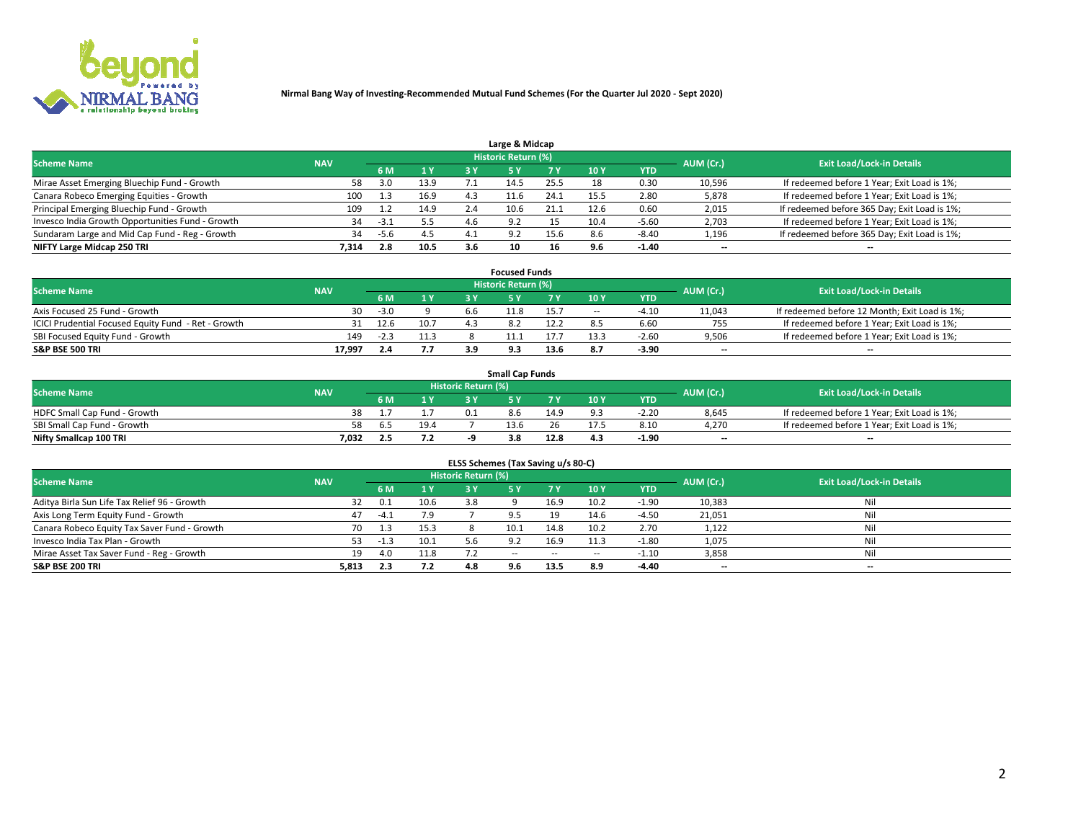

|                                                  |            |      |      |     | Large & Midcap      |      |      |            |                          |                                              |
|--------------------------------------------------|------------|------|------|-----|---------------------|------|------|------------|--------------------------|----------------------------------------------|
| <b>Scheme Name</b>                               | <b>NAV</b> |      |      |     | Historic Return (%) |      |      |            | AUM (Cr.)                | <b>Exit Load/Lock-in Details</b>             |
|                                                  |            | 6 M  | 1 Y  |     |                     | 7 V  | 10Y  | <b>YTD</b> |                          |                                              |
| Mirae Asset Emerging Bluechip Fund - Growth      | 58         | 3.0  | 13.9 |     | د 4                 | 25.5 | 18   | 0.30       | 10,596                   | If redeemed before 1 Year; Exit Load is 1%;  |
| Canara Robeco Emerging Equities - Growth         | 100        |      | 16.9 | 4.3 | 11.6                | 24.1 | 15.5 | 2.80       | 5,878                    | If redeemed before 1 Year; Exit Load is 1%;  |
| Principal Emerging Bluechip Fund - Growth        | 109        |      | 14.9 | 2.4 | 10.6                | 21.1 | 12.6 | 0.60       | 2,015                    | If redeemed before 365 Day; Exit Load is 1%; |
| Invesco India Growth Opportunities Fund - Growth | 34         | -3.1 | 5.5  | 4.b | 9.2                 |      | 10.4 | $-5.60$    | 2,703                    | If redeemed before 1 Year; Exit Load is 1%;  |
| Sundaram Large and Mid Cap Fund - Reg - Growth   | 34         | -5.6 | 4.5  |     | $\circ$             | 15.6 |      | $-8.40$    | 1,196                    | If redeemed before 365 Day; Exit Load is 1%; |
| NIFTY Large Midcap 250 TRI                       | 7.314      | 2.8  | 10.5 | 3.6 | 10                  | 16   |      | $-1.40$    | $\overline{\phantom{a}}$ | $- -$                                        |

|                                                     |            |        |      |      | <b>Focused Funds</b>       |      |        |            |                          |                                               |
|-----------------------------------------------------|------------|--------|------|------|----------------------------|------|--------|------------|--------------------------|-----------------------------------------------|
| <b>Scheme Name</b>                                  | <b>NAV</b> |        |      |      | <b>Historic Return (%)</b> |      |        |            | AUM (Cr.)                | <b>Exit Load/Lock-in Details</b>              |
|                                                     |            | 6 M    | 1 V  |      |                            |      | 10 Y   | <b>YTD</b> |                          |                                               |
| Axis Focused 25 Fund - Growth                       | 30         | $-3.0$ |      | b.b  | 11.8                       | 15.7 | $\sim$ | $-4.10$    | 11,043                   | If redeemed before 12 Month; Exit Load is 1%; |
| ICICI Prudential Focused Equity Fund - Ret - Growth | 31         | 12.6   | 10.7 | 21 R |                            |      |        | 6.60       | 755                      | If redeemed before 1 Year; Exit Load is 1%;   |
| SBI Focused Equity Fund - Growth                    | 149        | -2.3   |      |      |                            |      |        | $-2.60$    | 9,506                    | If redeemed before 1 Year; Exit Load is 1%;   |
| S&P BSE 500 TRI                                     | 17,997     |        | 7.7  |      |                            | 13.6 |        | $-3.90$    | $\overline{\phantom{a}}$ | $- -$                                         |

|                              |            |     |      |                     | <b>Small Cap Funds</b> |        |                 |            |           |                                             |
|------------------------------|------------|-----|------|---------------------|------------------------|--------|-----------------|------------|-----------|---------------------------------------------|
| <b>Scheme Name</b>           | <b>NAV</b> |     |      | Historic Return (%) |                        |        |                 |            | AUM (Cr.) | <b>Exit Load/Lock-in Details</b>            |
|                              |            | 6 M |      |                     |                        |        | 10 <sub>Y</sub> | <b>YTD</b> |           |                                             |
| HDFC Small Cap Fund - Growth | 38         |     |      | 0.1                 | 8.6                    | 14.9   |                 | $-2.20$    | 8,645     | If redeemed before 1 Year; Exit Load is 1%; |
| SBI Small Cap Fund - Growth  |            | ר ה | 19.4 |                     | 13.6                   | $\sim$ |                 | 8.10       | 4,270     | If redeemed before 1 Year; Exit Load is 1%; |
| Nifty Smallcap 100 TRI       | 7.032      |     |      |                     | 3.8                    | 12.8   | 4.3             | $-1.90$    | $- -$     | $- -$                                       |

| ELSS Schemes (Tax Saving u/s 80-C)           |            |        |      |                            |           |           |                          |            |                          |                                  |  |  |  |
|----------------------------------------------|------------|--------|------|----------------------------|-----------|-----------|--------------------------|------------|--------------------------|----------------------------------|--|--|--|
| <b>Scheme Name</b>                           | <b>NAV</b> |        |      | <b>Historic Return (%)</b> |           |           |                          |            | AUM (Cr.)                | <b>Exit Load/Lock-in Details</b> |  |  |  |
|                                              |            | - 6 M  | 1Y   | 3 Y                        | <b>5Y</b> | <b>7Y</b> | 10Y                      | <b>YTD</b> |                          |                                  |  |  |  |
| Aditya Birla Sun Life Tax Relief 96 - Growth | 32         | 0.1    | 10.6 | 3.8                        |           | 16.9      | 10.2                     | $-1.90$    | 10,383                   | Nil                              |  |  |  |
| Axis Long Term Equity Fund - Growth          | 47         | $-4.1$ | 7.9  |                            |           | 19        | 14.6                     | $-4.50$    | 21,051                   | Nil                              |  |  |  |
| Canara Robeco Equity Tax Saver Fund - Growth | 70         | 1.3    | 15.3 |                            | 10.1      | 14.8      | 10.2                     | 2.70       | 1,122                    | Nil                              |  |  |  |
| Invesco India Tax Plan - Growth              | 53         | -1.3   | 10.1 |                            |           | 16.9      | 11.3                     | $-1.80$    | 1,075                    | Nil                              |  |  |  |
| Mirae Asset Tax Saver Fund - Reg - Growth    | 19         | 4.0    | 11.8 |                            | $- -$     | $\sim$    | $\overline{\phantom{a}}$ | $-1.10$    | 3,858                    | Nil                              |  |  |  |
| S&P BSE 200 TRI                              | 5,813      | 2.3    | 7.2  | 4.8                        | 9.6       | 13.5      | 8.9                      | $-4.40$    | $\overline{\phantom{a}}$ | $- -$                            |  |  |  |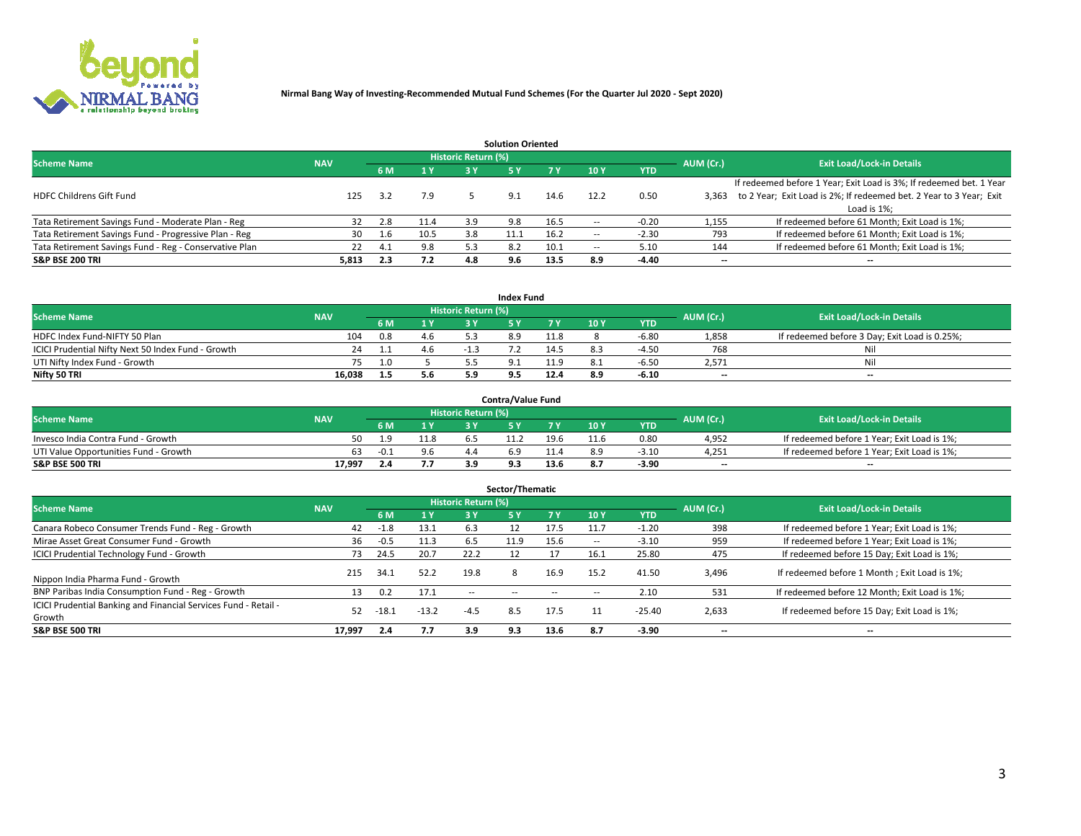

|                                                        |            |            |      |                            | <b>Solution Oriented</b> |      |                          |            |                          |                                                                     |
|--------------------------------------------------------|------------|------------|------|----------------------------|--------------------------|------|--------------------------|------------|--------------------------|---------------------------------------------------------------------|
| <b>Scheme Name</b>                                     | <b>NAV</b> |            |      | <b>Historic Return (%)</b> |                          |      |                          |            | AUM (Cr.)                | <b>Exit Load/Lock-in Details</b>                                    |
|                                                        |            | <b>6 M</b> | 1 Y  | 3 Y                        |                          |      | 10Y                      | <b>YTD</b> |                          |                                                                     |
|                                                        |            |            |      |                            |                          |      |                          |            |                          | If redeemed before 1 Year; Exit Load is 3%; If redeemed bet. 1 Year |
| <b>HDFC Childrens Gift Fund</b>                        | 125        | 3.2        | 7.9  |                            | 9.1                      | 14.6 | 12.2                     | 0.50       | 3.363                    | to 2 Year; Exit Load is 2%; If redeemed bet. 2 Year to 3 Year; Exit |
|                                                        |            |            |      |                            |                          |      |                          |            |                          | Load is 1%;                                                         |
| Tata Retirement Savings Fund - Moderate Plan - Reg     | 32         | 2.8        | 11.4 | 3.9                        | 9.8                      | 16.5 |                          | $-0.20$    | 1,155                    | If redeemed before 61 Month; Exit Load is 1%;                       |
| Tata Retirement Savings Fund - Progressive Plan - Reg  | 30         | 1.6        | 10.5 | 3.8                        |                          | 16.2 | $\overline{\phantom{a}}$ | $-2.30$    | 793                      | If redeemed before 61 Month; Exit Load is 1%;                       |
| Tata Retirement Savings Fund - Reg - Conservative Plan | 22         | 4.1        | 9.8  | 5.3                        |                          | 10.1 | --                       | 5.10       | 144                      | If redeemed before 61 Month; Exit Load is 1%;                       |
| S&P BSE 200 TRI                                        | 5,813      | 2.3        | 7.2  | 4.8                        | 9.6                      | 13.5 | 8.9                      | $-4.40$    | $\overline{\phantom{a}}$ | $- -$                                                               |

|                                                    |            |     |                                         |                            | <b>Index Fund</b> |      |      |            |                          |                                               |
|----------------------------------------------------|------------|-----|-----------------------------------------|----------------------------|-------------------|------|------|------------|--------------------------|-----------------------------------------------|
| <b>Scheme Name</b>                                 | <b>NAV</b> |     |                                         | <b>Historic Return (%)</b> |                   |      |      |            | AUM (Cr.)                | <b>Exit Load/Lock-in Details</b>              |
|                                                    |            |     | $\blacktriangle$ 1 $\blacktriangledown$ | 2 V                        |                   | 7 V  | 10 Y | <b>YTD</b> |                          |                                               |
| HDFC Index Fund-NIFTY 50 Plan                      | 104        | 0.8 | 4.6                                     |                            |                   | 11.8 |      | $-6.80$    | 1,858                    | If redeemed before 3 Day; Exit Load is 0.25%; |
| ICICI Prudential Nifty Next 50 Index Fund - Growth |            |     | 4.6                                     |                            |                   | 14.5 |      | $-4.50$    | 768                      | Nil                                           |
| UTI Nifty Index Fund - Growth                      |            | 1.0 |                                         |                            |                   | 11 O |      | $-6.5C$    | 2,571                    | Nil                                           |
| Nifty 50 TRI                                       | 16,038     | 1.5 | 5.6                                     | 5.9                        |                   | 12.4 | 8.9  | $-6.10$    | $\overline{\phantom{a}}$ | $- -$                                         |

|                                       |            |        |     |                            | <b>Contra/Value Fund</b> |      |      |            |                          |                                             |
|---------------------------------------|------------|--------|-----|----------------------------|--------------------------|------|------|------------|--------------------------|---------------------------------------------|
| <b>Scheme Name</b>                    | <b>NAV</b> |        |     | <b>Historic Return (%)</b> |                          |      |      |            | AUM (Cr.)                | <b>Exit Load/Lock-in Details</b>            |
|                                       |            |        | 1 V |                            |                          | 7 V  | 10Y  | <b>YTD</b> |                          |                                             |
| Invesco India Contra Fund - Growth    | 50         | ٩      |     |                            |                          | 19.6 | 11.6 | 0.80       | 4.952                    | If redeemed before 1 Year; Exit Load is 1%; |
| UTI Value Opportunities Fund - Growth | 63         | $-0.1$ | 9.6 |                            |                          |      |      | $-3.10$    | 4,251                    | If redeemed before 1 Year; Exit Load is 1%; |
| <b>S&amp;P BSE 500 TRI</b>            | 17.997     |        |     |                            |                          | 13.6 |      | $-3.90$    | $\overline{\phantom{a}}$ | $- -$                                       |

| Sector/Thematic                                                           |            |        |                |                     |            |        |                          |            |           |                                               |  |  |  |
|---------------------------------------------------------------------------|------------|--------|----------------|---------------------|------------|--------|--------------------------|------------|-----------|-----------------------------------------------|--|--|--|
| <b>Scheme Name</b>                                                        | <b>NAV</b> |        |                | Historic Return (%) |            |        |                          |            | AUM (Cr.) | <b>Exit Load/Lock-in Details</b>              |  |  |  |
|                                                                           |            | 6 M    | 1 <sub>Y</sub> | 3 Y                 | <b>5Y</b>  | 7 Y    | 10Y                      | <b>YTD</b> |           |                                               |  |  |  |
| Canara Robeco Consumer Trends Fund - Reg - Growth                         | 42         | $-1.8$ | 13.1           | 6.3                 |            | 17.5   | 11.7                     | $-1.20$    | 398       | If redeemed before 1 Year; Exit Load is 1%;   |  |  |  |
| Mirae Asset Great Consumer Fund - Growth                                  | 36         | $-0.5$ | 11.3           | 6.5                 | 11.9       | 15.6   | $\overline{\phantom{a}}$ | $-3.10$    | 959       | If redeemed before 1 Year; Exit Load is 1%;   |  |  |  |
| <b>ICICI Prudential Technology Fund - Growth</b>                          | 73.        | 24.5   | 20.7           | 22.2                |            |        | 16.1                     | 25.80      | 475       | If redeemed before 15 Day; Exit Load is 1%;   |  |  |  |
| Nippon India Pharma Fund - Growth                                         | 215        | 34.1   | 52.2           | 19.8                |            | 16.9   | 15.2                     | 41.50      | 3,496     | If redeemed before 1 Month; Exit Load is 1%;  |  |  |  |
| BNP Paribas India Consumption Fund - Reg - Growth                         | 13         | 0.2    | 17.1           | $\sim$ $-$          | $\sim$ $-$ | $\sim$ | $\sim$                   | 2.10       | 531       | If redeemed before 12 Month; Exit Load is 1%; |  |  |  |
| ICICI Prudential Banking and Financial Services Fund - Retail -<br>Growth | 52         | -18.1  | $-13.2$        | $-4.5$              | 8.5        | 17.5   | 11                       | $-25.40$   | 2,633     | If redeemed before 15 Day; Exit Load is 1%;   |  |  |  |
| <b>S&amp;P BSE 500 TRI</b>                                                | 17,997     | 2.4    | 7.7            | 3.9                 | 9.3        | 13.6   | 8.7                      | $-3.90$    | --        | $- -$                                         |  |  |  |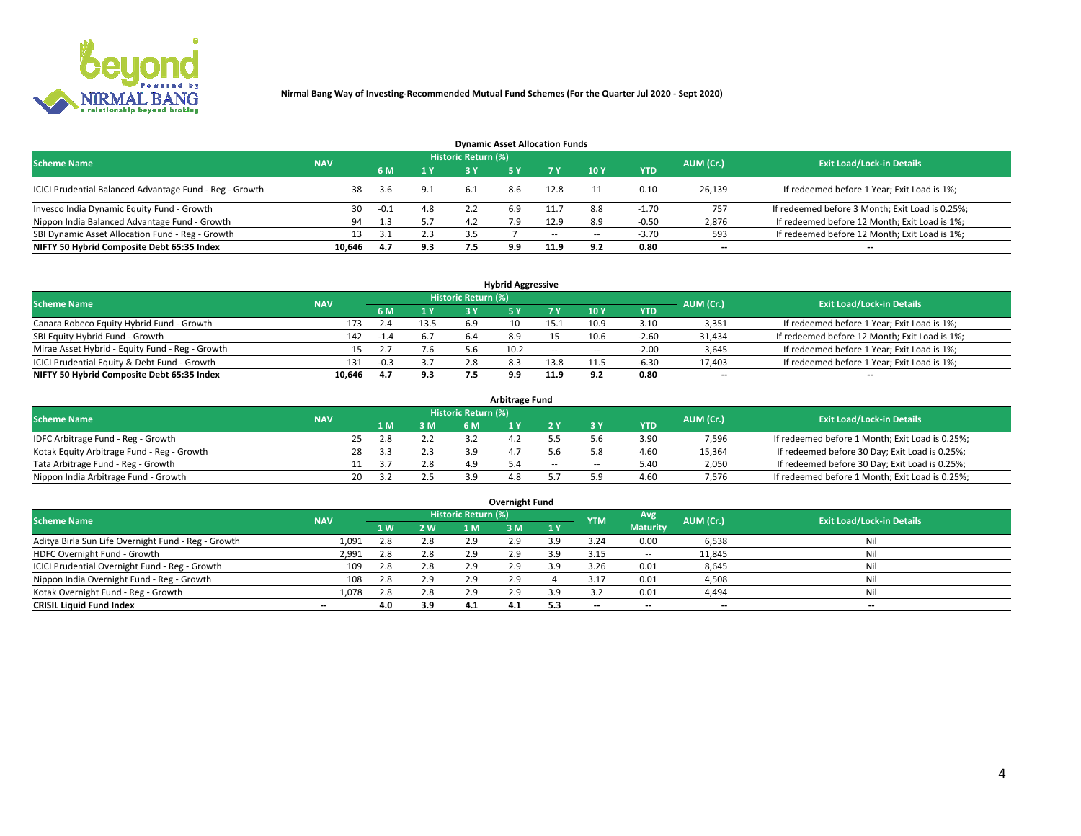

| <b>Dynamic Asset Allocation Funds</b>                   |            |        |                         |                     |     |        |        |            |                          |                                                 |  |  |  |  |
|---------------------------------------------------------|------------|--------|-------------------------|---------------------|-----|--------|--------|------------|--------------------------|-------------------------------------------------|--|--|--|--|
| <b>Scheme Name</b>                                      | <b>NAV</b> |        |                         | Historic Return (%) |     |        |        |            | AUM (Cr.)                | <b>Exit Load/Lock-in Details</b>                |  |  |  |  |
|                                                         |            |        | $\mathbf{A} \mathbf{V}$ | 2 V                 |     | 7 Y    | 10 Y   | <b>YTD</b> |                          |                                                 |  |  |  |  |
| ICICI Prudential Balanced Advantage Fund - Reg - Growth | 38         | 3.6    | 9.1                     | -6.1                | 8.6 | 12.8   |        | 0.10       | 26,139                   | If redeemed before 1 Year; Exit Load is 1%;     |  |  |  |  |
| Invesco India Dynamic Equity Fund - Growth              | 30         | $-0.1$ | 4.8                     |                     | 6.9 | .1.7   | 8.8    | $-1.70$    | 757                      | If redeemed before 3 Month; Exit Load is 0.25%; |  |  |  |  |
| Nippon India Balanced Advantage Fund - Growth           | 94         | 1.3    | 5.7                     | 4.2                 |     | 12.9   |        | -0.50      | 2,876                    | If redeemed before 12 Month; Exit Load is 1%;   |  |  |  |  |
| SBI Dynamic Asset Allocation Fund - Reg - Growth        |            |        | 2.3                     |                     |     | $\sim$ | $\sim$ | $-3.70$    | 593                      | If redeemed before 12 Month; Exit Load is 1%;   |  |  |  |  |
| NIFTY 50 Hybrid Composite Debt 65:35 Index              | 10.646     | 4.7    | 9.3                     |                     | 9.9 | 11.9   | ດ າ    | 0.80       | $\overline{\phantom{a}}$ | $- -$                                           |  |  |  |  |

| <b>Hybrid Aggressive</b>                        |                                                                                                                 |        |                       |     |      |            |                          |            |        |                                               |  |  |  |  |  |
|-------------------------------------------------|-----------------------------------------------------------------------------------------------------------------|--------|-----------------------|-----|------|------------|--------------------------|------------|--------|-----------------------------------------------|--|--|--|--|--|
|                                                 | <b>Historic Return (%)</b><br><b>Exit Load/Lock-in Details</b><br>AUM (Cr.)<br><b>Scheme Name</b><br><b>NAV</b> |        |                       |     |      |            |                          |            |        |                                               |  |  |  |  |  |
|                                                 |                                                                                                                 |        | $\sqrt{1}$ $\sqrt{2}$ | R Y |      |            | <b>10Y</b>               | <b>YTD</b> |        |                                               |  |  |  |  |  |
| Canara Robeco Equity Hybrid Fund - Growth       | 173                                                                                                             |        | 13.5                  | 6.9 |      | 15.1       | 10.9                     | 3.10       | 3,351  | If redeemed before 1 Year; Exit Load is 1%;   |  |  |  |  |  |
| SBI Equity Hybrid Fund - Growth                 | 142                                                                                                             | $-1.4$ |                       |     |      |            | 10.6                     | $-2.60$    | 31,434 | If redeemed before 12 Month; Exit Load is 1%; |  |  |  |  |  |
| Mirae Asset Hybrid - Equity Fund - Reg - Growth |                                                                                                                 |        | 7.6                   |     | 10.2 | $\sim$ $-$ | $\overline{\phantom{a}}$ | $-2.00$    | 3,645  | If redeemed before 1 Year; Exit Load is 1%;   |  |  |  |  |  |
| ICICI Prudential Equity & Debt Fund - Growth    | 131                                                                                                             | $-0.3$ |                       |     |      | 13.8       |                          | $-6.3C$    | 17,403 | If redeemed before 1 Year; Exit Load is 1%;   |  |  |  |  |  |
| NIFTY 50 Hybrid Composite Debt 65:35 Index      | 10.646                                                                                                          |        | 9.3                   |     | 9.9  | 11.9       |                          | 0.80       | --     | $- -$                                         |  |  |  |  |  |

| <b>Arbitrage Fund</b>                      |            |                                  |     |     |     |       |     |            |        |                                                 |  |  |  |  |
|--------------------------------------------|------------|----------------------------------|-----|-----|-----|-------|-----|------------|--------|-------------------------------------------------|--|--|--|--|
| <b>Scheme Name</b>                         | AUM (Cr.)  | <b>Exit Load/Lock-in Details</b> |     |     |     |       |     |            |        |                                                 |  |  |  |  |
|                                            | <b>NAV</b> | 1 M                              | 3 M | 6 M |     |       |     | <b>YTD</b> |        |                                                 |  |  |  |  |
| IDFC Arbitrage Fund - Reg - Growth         |            | 2.8                              | 2.2 |     |     |       |     | 3.90       | 7,596  | If redeemed before 1 Month; Exit Load is 0.25%; |  |  |  |  |
| Kotak Equity Arbitrage Fund - Reg - Growth | 28         |                                  |     |     |     |       |     | 4.60       | 15,364 | If redeemed before 30 Day; Exit Load is 0.25%;  |  |  |  |  |
| Tata Arbitrage Fund - Reg - Growth         |            |                                  | 2.8 |     |     | $- -$ | $-$ | 5.40       | 2,050  | If redeemed before 30 Day; Exit Load is 0.25%;  |  |  |  |  |
| Nippon India Arbitrage Fund - Growth       | 20         |                                  |     |     | 4.8 |       |     | 4.60       | 7,576  | If redeemed before 1 Month; Exit Load is 0.25%; |  |  |  |  |

| Overnight Fund                                      |            |     |     |                     |     |           |            |                 |                          |                                  |  |  |  |  |
|-----------------------------------------------------|------------|-----|-----|---------------------|-----|-----------|------------|-----------------|--------------------------|----------------------------------|--|--|--|--|
| <b>Scheme Name</b>                                  | <b>NAV</b> |     |     | Historic Return (%) |     |           | <b>YTM</b> | Avg             | AUM (Cr.)                | <b>Exit Load/Lock-in Details</b> |  |  |  |  |
|                                                     |            | 1 W | 2 W | 1 M                 | 3 M | <b>1Y</b> |            | <b>Maturity</b> |                          |                                  |  |  |  |  |
| Aditya Birla Sun Life Overnight Fund - Reg - Growth | 1,091      |     | 2.8 | 2.9                 | 2.9 | 3.9       | 3.24       | 0.00            | 6,538                    | Nil                              |  |  |  |  |
| HDFC Overnight Fund - Growth                        | 2,991      |     | 2.8 | 2.9                 | 2.9 | 3.9       | 3.15       | $- -$           | 11,845                   | Nil                              |  |  |  |  |
| ICICI Prudential Overnight Fund - Reg - Growth      | 109        |     | 2.8 | 2.9                 | 2.9 | 3.9       | 3.26       | 0.01            | 8,645                    | Nil                              |  |  |  |  |
| Nippon India Overnight Fund - Reg - Growth          | 108        | 2.8 | 2.9 | 2.9                 | 2.9 |           |            | 0.01            | 4,508                    | Nil                              |  |  |  |  |
| Kotak Overnight Fund - Reg - Growth                 | 1,078      |     | 2.8 | 2.9                 | 2.9 | 3.9       |            | 0.01            | 4,494                    | Nil                              |  |  |  |  |
| <b>CRISIL Liquid Fund Index</b>                     | $- -$      | 4.0 | 3.9 | 4.1                 | 4.1 | 5.3       | --         | --              | $\overline{\phantom{a}}$ | --                               |  |  |  |  |

### **Overnight Fund**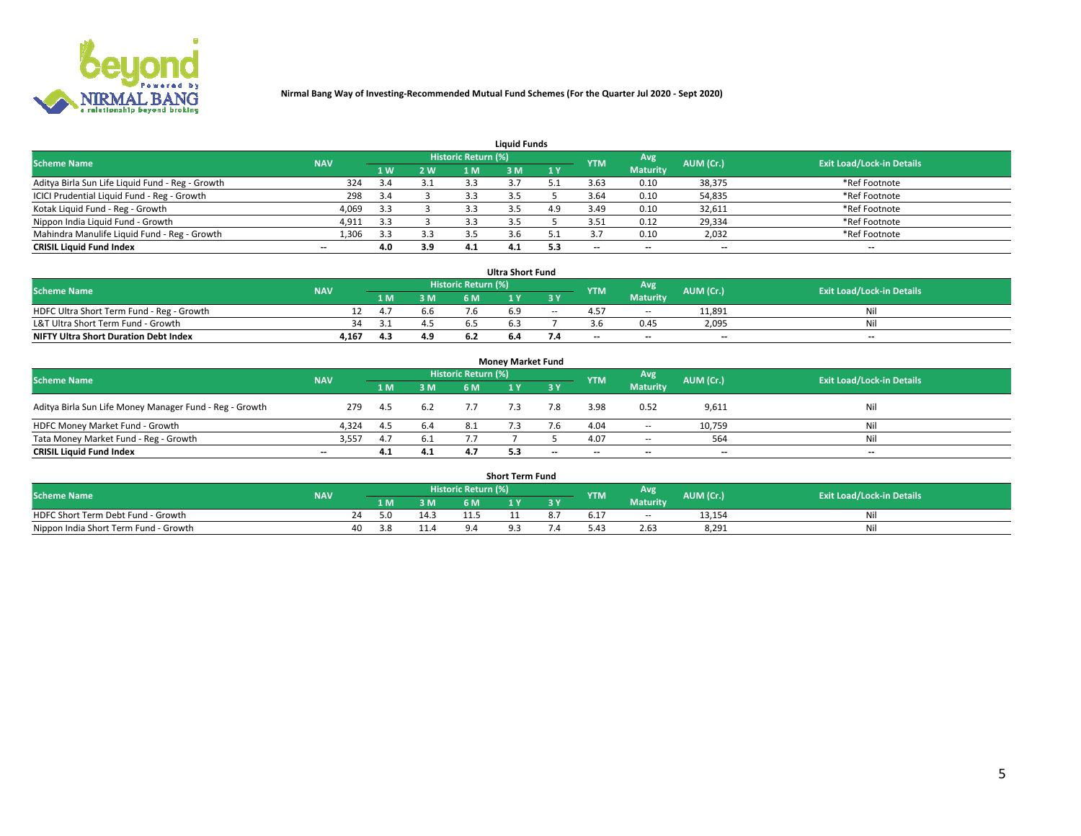

| <b>Liquid Funds</b>                              |            |     |     |                     |     |     |                          |                 |                          |                                  |  |  |  |  |
|--------------------------------------------------|------------|-----|-----|---------------------|-----|-----|--------------------------|-----------------|--------------------------|----------------------------------|--|--|--|--|
| <b>Scheme Name</b>                               | <b>NAV</b> |     |     | Historic Return (%) |     |     | <b>YTM</b>               | Avg             | AUM (Cr.)                | <b>Exit Load/Lock-in Details</b> |  |  |  |  |
|                                                  |            | 1 W | 2 W | 1 M                 | : M | 1Y  |                          | <b>Maturity</b> |                          |                                  |  |  |  |  |
| Aditya Birla Sun Life Liquid Fund - Reg - Growth | 324        |     | 3.1 | 3.3                 |     |     | 3.63                     | 0.10            | 38,375                   | *Ref Footnote                    |  |  |  |  |
| ICICI Prudential Liquid Fund - Reg - Growth      | 298        | 3.4 |     | 3.3                 |     |     | 3.64                     | 0.10            | 54,835                   | *Ref Footnote                    |  |  |  |  |
| Kotak Liquid Fund - Reg - Growth                 | 4,069      | 3.3 |     |                     |     | 4.9 | 3.49                     | 0.10            | 32,611                   | *Ref Footnote                    |  |  |  |  |
| Nippon India Liquid Fund - Growth                | 4,911      | 3.3 |     |                     |     |     | 3.51                     | 0.12            | 29,334                   | *Ref Footnote                    |  |  |  |  |
| Mahindra Manulife Liquid Fund - Reg - Growth     | 1,306      | 3.3 | 3.3 |                     |     |     |                          | 0.10            | 2,032                    | *Ref Footnote                    |  |  |  |  |
| <b>CRISIL Liquid Fund Index</b>                  | $- -$      | 4.0 | 3.9 | 4.1                 | 4.1 | 5.3 | $\overline{\phantom{a}}$ | $- -$           | $\overline{\phantom{a}}$ | $\overline{\phantom{m}}$         |  |  |  |  |

| <b>Ultra Short Fund</b>                      |            |      |     |                            |     |           |                          |                 |                          |                                  |  |  |  |  |
|----------------------------------------------|------------|------|-----|----------------------------|-----|-----------|--------------------------|-----------------|--------------------------|----------------------------------|--|--|--|--|
| <b>Scheme Name</b>                           | <b>NAV</b> |      |     | <b>Historic Return (%)</b> |     |           | <b>YTM</b>               | Avg             | AUM (Cr.)                | <b>Exit Load/Lock-in Details</b> |  |  |  |  |
|                                              |            | 1 M. | 3 M | 6 M                        |     | <b>3Y</b> |                          | <b>Maturity</b> |                          |                                  |  |  |  |  |
| HDFC Ultra Short Term Fund - Reg - Growth    |            | 4.7  | 6.6 |                            |     | $\sim$    |                          | $\sim$ $-$      | 11.891                   | Nil                              |  |  |  |  |
| L&T Ultra Short Term Fund - Growth           | 34.        |      |     |                            |     |           |                          | 0.45            | 2,095                    | Nil                              |  |  |  |  |
| <b>NIFTY Ultra Short Duration Debt Index</b> | 4,167      | 4.3  | 4.9 |                            | b.4 |           | $\overline{\phantom{a}}$ | $- -$           | $\overline{\phantom{a}}$ | $- -$                            |  |  |  |  |

| <b>Money Market Fund</b>                                                                                                      |                          |      |     |     |  |       |                          |                 |                          |       |  |  |  |  |
|-------------------------------------------------------------------------------------------------------------------------------|--------------------------|------|-----|-----|--|-------|--------------------------|-----------------|--------------------------|-------|--|--|--|--|
| Historic Return (%)<br>Avg<br><b>Scheme Name</b><br>AUM (Cr.)<br><b>Exit Load/Lock-in Details</b><br><b>NAV</b><br><b>YTM</b> |                          |      |     |     |  |       |                          |                 |                          |       |  |  |  |  |
|                                                                                                                               |                          | 1 M  | 3 M | 6 M |  | 3 Y   |                          | <b>Maturity</b> |                          |       |  |  |  |  |
| Aditya Birla Sun Life Money Manager Fund - Reg - Growth                                                                       | 279                      | 4.5  | 6.2 | 7.7 |  | 7.8   | 3.98                     | 0.52            | 9,611                    | Nil   |  |  |  |  |
| HDFC Money Market Fund - Growth                                                                                               | 4.324                    | -4.5 | 6.4 |     |  |       | 4.04                     | $\sim$ $\sim$   | 10,759                   | Nil   |  |  |  |  |
| Tata Money Market Fund - Reg - Growth                                                                                         | 3,557                    | 4.7  | 6.1 |     |  |       | 4.07                     | $\sim$ $-$      | 564                      | Nil   |  |  |  |  |
| <b>CRISIL Liquid Fund Index</b>                                                                                               | $\overline{\phantom{a}}$ | 4.1  | 4.1 |     |  | $- -$ | $\overline{\phantom{a}}$ | $- -$           | $\overline{\phantom{a}}$ | $- -$ |  |  |  |  |

| <b>Short Term Fund</b>                |            |  |     |      |                     |   |    |            |                 |           |                                  |  |  |  |
|---------------------------------------|------------|--|-----|------|---------------------|---|----|------------|-----------------|-----------|----------------------------------|--|--|--|
| <b>Scheme Name</b>                    | <b>NAV</b> |  |     |      | Historic Return (%) |   |    | <b>YTM</b> | Avg.            | AUM (Cr.) | <b>Exit Load/Lock-in Details</b> |  |  |  |
|                                       |            |  | 1 M | 3 M  | 6 M                 | . | 2V |            | <b>Maturity</b> |           |                                  |  |  |  |
| HDFC Short Term Debt Fund - Growth    |            |  | 5 በ |      |                     |   |    |            | $\sim$ $\sim$   | 13,154    | Nil                              |  |  |  |
| Nippon India Short Term Fund - Growth |            |  |     | 11.4 |                     |   |    |            | 2.63            | 8,291     | Nil                              |  |  |  |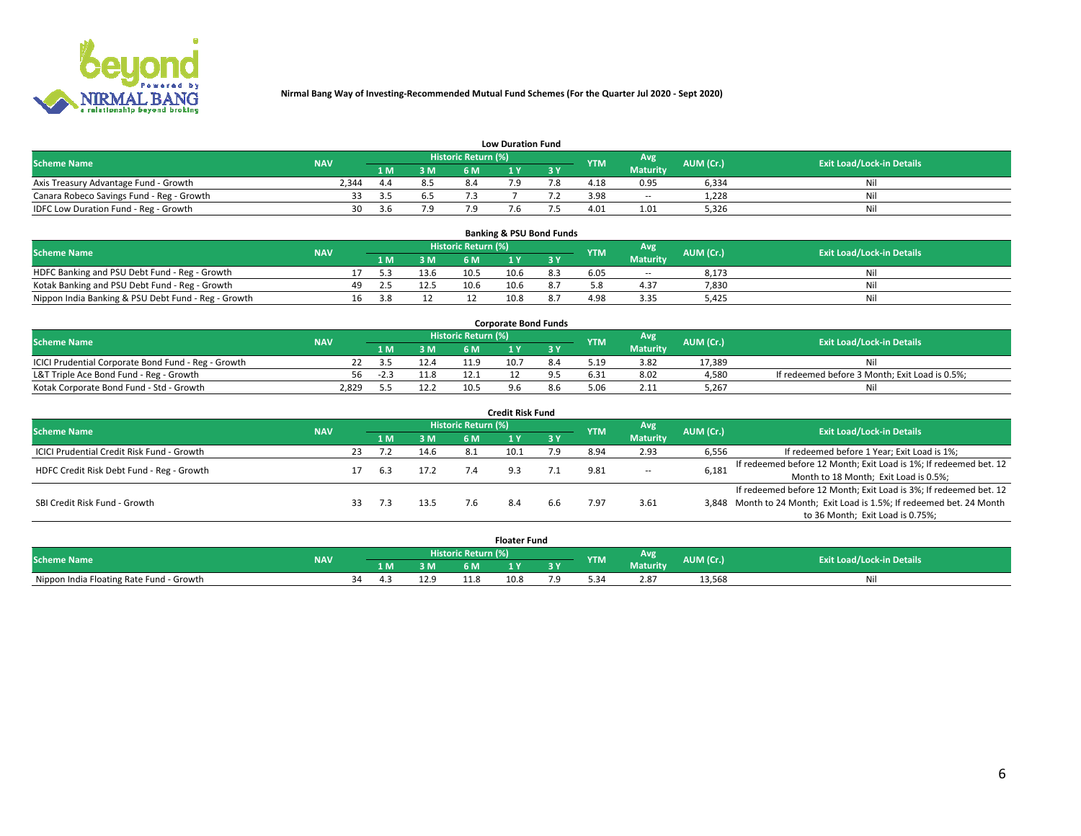

|                                           | <b>Low Duration Fund</b> |       |     |                     |  |     |            |                 |           |                                  |  |  |  |  |  |
|-------------------------------------------|--------------------------|-------|-----|---------------------|--|-----|------------|-----------------|-----------|----------------------------------|--|--|--|--|--|
| <b>Scheme Name</b>                        | <b>NAV</b>               |       |     | Historic Return (%) |  |     | <b>YTM</b> | <b>Avg</b>      | AUM (Cr.) | <b>Exit Load/Lock-in Details</b> |  |  |  |  |  |
|                                           |                          | 1 M.  | 3 M | 6 M                 |  | 2 V |            | <b>Maturity</b> |           |                                  |  |  |  |  |  |
| Axis Treasury Advantage Fund - Growth     | 2.344                    | 4.4   | 8.5 |                     |  |     | 4.18       | 0.95            | 6,334     | Nil                              |  |  |  |  |  |
| Canara Robeco Savings Fund - Reg - Growth |                          | - 3.5 | 6.5 |                     |  |     | 3.98       | $\sim$ $-$      | 1,228     | Nil                              |  |  |  |  |  |
| IDFC Low Duration Fund - Reg - Growth     | 30                       | - 3 h | 79  | ם ז                 |  |     | 4.01       | 1.01            | 5,326     | Nil                              |  |  |  |  |  |

| <b>Banking &amp; PSU Bond Funds</b>                 |            |     |      |      |                     |      |     |            |                 |           |                                  |  |  |  |
|-----------------------------------------------------|------------|-----|------|------|---------------------|------|-----|------------|-----------------|-----------|----------------------------------|--|--|--|
| <b>Scheme Name</b>                                  | <b>NAV</b> |     |      |      | Historic Return (%) |      |     | <b>YTM</b> | Avg             | AUM (Cr.) | <b>Exit Load/Lock-in Details</b> |  |  |  |
|                                                     |            |     | 1 M. | 3 M  | 6 M                 |      |     |            | <b>Maturity</b> |           |                                  |  |  |  |
| HDFC Banking and PSU Debt Fund - Reg - Growth       |            |     |      | 13.6 | 10.5                | 10.6 | 8.3 | 6.05       | $\sim$ $-$      | 8.173     | Ni                               |  |  |  |
| Kotak Banking and PSU Debt Fund - Reg - Growth      |            | 49. |      | 12.5 | 10.6                | 10.6 |     |            | 4.37            | 7,830     | Ni                               |  |  |  |
| Nippon India Banking & PSU Debt Fund - Reg - Growth |            | 16  |      |      |                     | 10.8 |     | 4.98       | 3.35            | 5.425     | Νi                               |  |  |  |

| <b>Corporate Bond Funds</b>                         |            |        |      |                            |      |  |            |                 |           |                                                |  |  |  |  |
|-----------------------------------------------------|------------|--------|------|----------------------------|------|--|------------|-----------------|-----------|------------------------------------------------|--|--|--|--|
| <b>Scheme Name</b>                                  | <b>NAV</b> |        |      | <b>Historic Return (%)</b> |      |  | <b>YTM</b> | Avg             | AUM (Cr.) | <b>Exit Load/Lock-in Details</b>               |  |  |  |  |
|                                                     |            |        | 3 M  | 6 M                        |      |  |            | <b>Maturity</b> |           |                                                |  |  |  |  |
| ICICI Prudential Corporate Bond Fund - Reg - Growth |            |        | 12.4 |                            | 10.7 |  | 5.19       | 3.82            | 17.389    | Nil                                            |  |  |  |  |
| L&T Triple Ace Bond Fund - Reg - Growth             | 56         | $-2.3$ |      |                            |      |  | 6.31       | 8.02            | 4,580     | If redeemed before 3 Month; Exit Load is 0.5%; |  |  |  |  |
| Kotak Corporate Bond Fund - Std - Growth            | 2,829      |        | 12.2 | 10.5                       |      |  |            | 2.11            | 5,267     | Nil                                            |  |  |  |  |

| <b>Credit Risk Fund</b>                    |            |    |     |      |                            |      |           |            |                 |           |                                                                       |  |  |  |
|--------------------------------------------|------------|----|-----|------|----------------------------|------|-----------|------------|-----------------|-----------|-----------------------------------------------------------------------|--|--|--|
| <b>Scheme Name</b>                         | <b>NAV</b> |    |     |      | <b>Historic Return (%)</b> |      |           | <b>YTM</b> | Avg             | AUM (Cr.) | <b>Exit Load/Lock-in Details</b>                                      |  |  |  |
|                                            |            |    | 1 M | 3 M  | 6 M                        |      | <b>3Y</b> |            | <b>Maturity</b> |           |                                                                       |  |  |  |
| ICICI Prudential Credit Risk Fund - Growth |            | 23 |     | 14.6 | 8.1                        | 10.1 | 7.9       | 8.94       | 2.93            | 6,556     | If redeemed before 1 Year; Exit Load is 1%;                           |  |  |  |
| HDFC Credit Risk Debt Fund - Reg - Growth  |            |    | 6.3 | 17.2 |                            |      |           | 9.81       | $\sim$ $-$      | 6,181     | If redeemed before 12 Month; Exit Load is 1%; If redeemed bet. 12     |  |  |  |
|                                            |            |    |     |      |                            |      |           |            |                 |           | Month to 18 Month; Exit Load is 0.5%;                                 |  |  |  |
|                                            |            |    |     |      |                            |      |           |            |                 |           | If redeemed before 12 Month; Exit Load is 3%; If redeemed bet. 12     |  |  |  |
| SBI Credit Risk Fund - Growth              |            |    | 7.3 | 13.5 |                            |      | b.b       | '.97       | 3.61            |           | 3,848 Month to 24 Month; Exit Load is 1.5%; If redeemed bet. 24 Month |  |  |  |
|                                            |            |    |     |      |                            |      |           |            |                 |           | to 36 Month; Exit Load is 0.75%;                                      |  |  |  |

| <b>Floater Fund</b>                      |            |                       |     |       |     |      |   |            |                 |           |                                  |
|------------------------------------------|------------|-----------------------|-----|-------|-----|------|---|------------|-----------------|-----------|----------------------------------|
| <b>Scheme Name</b>                       | <b>NAV</b> | Historic Return (%) \ |     |       |     |      |   | <b>YTM</b> | Avg             | AUM (Cr.) | <b>Exit Load/Lock-in Details</b> |
|                                          |            |                       | 1 M | ЗM    | 6 M | - 17 | . |            | <b>Maturity</b> |           |                                  |
| Nippon India Floating Rate Fund - Growth |            | - 34<br>4.            |     | 1 ລິດ |     | 10.8 |   |            | 2.87            | 13,568    | NL                               |